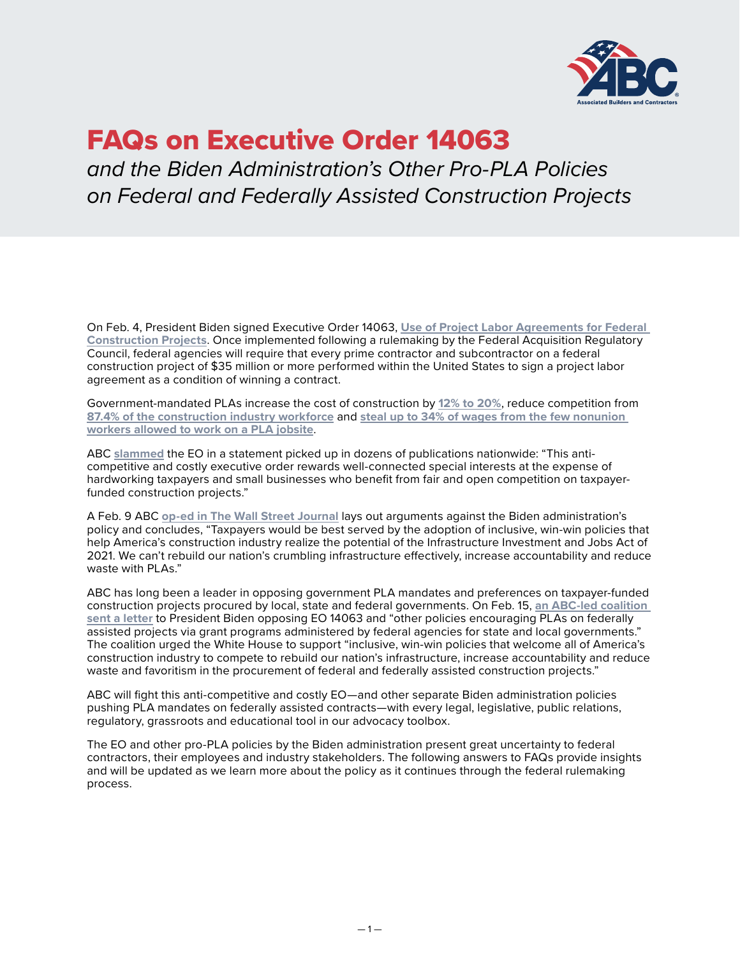

# FAQs on Executive Order 14063

*and the Biden Administration's Other Pro-PLA Policies on Federal and Federally Assisted Construction Projects*

On Feb. 4, President Biden signed Executive Order 14063, **[Use of Project Labor Agreements for Federal](https://www.federalregister.gov/documents/2022/02/09/2022-02869/use-of-project-labor-agreements-for-federal-construction-projects)  [Construction Projects](https://www.federalregister.gov/documents/2022/02/09/2022-02869/use-of-project-labor-agreements-for-federal-construction-projects)**. Once implemented following a rulemaking by the Federal Acquisition Regulatory Council, federal agencies will require that every prime contractor and subcontractor on a federal construction project of \$35 million or more performed within the United States to sign a project labor agreement as a condition of winning a contract.

Government-mandated PLAs increase the cost of construction by **[12% to 20%](https://thetruthaboutplas.com/2012/12/28/plastudies/)**, reduce competition from **[87.4% of the construction industry workforce](https://thetruthaboutplas.com/2022/02/02/bls-87-4-of-construction-industry-does-not-belong-to-a-union/)** and **[steal up to 34% of wages from the few nonunion](https://thetruthaboutplas.com/2021/10/22/nonunion-workers-suffer-up-to-34-in-wage-theft-under-government-mandated-project-labor-agreements/)  [workers allowed to work on a PLA jobsite](https://thetruthaboutplas.com/2021/10/22/nonunion-workers-suffer-up-to-34-in-wage-theft-under-government-mandated-project-labor-agreements/)**.

ABC **[slammed](https://abc.org/News-Media/News-Releases/entryid/19230/president-biden-s-pro-pla-executive-order-will-increase-costs-to-taxpayers-and-exacerbate-skilled-labor-shortage-says-abc)** the EO in a statement picked up in dozens of publications nationwide: "This anticompetitive and costly executive order rewards well-connected special interests at the expense of hardworking taxpayers and small businesses who benefit from fair and open competition on taxpayerfunded construction projects."

A Feb. 9 ABC **[op-ed in The Wall Street Journal](https://www.wsj.com/articles/infrastructure-law-biden-union-giveaway-federal-construction-contracts-project-labor-agreements-pla-11644439883)** lays out arguments against the Biden administration's policy and concludes, "Taxpayers would be best served by the adoption of inclusive, win-win policies that help America's construction industry realize the potential of the Infrastructure Investment and Jobs Act of 2021. We can't rebuild our nation's crumbling infrastructure effectively, increase accountability and reduce waste with PLAs."

ABC has long been a leader in opposing government PLA mandates and preferences on taxpayer-funded construction projects procured by local, state and federal governments. On Feb. 15, **[an ABC-led coalition](https://buildamericalocal.com/wp-content/uploads/sites/18/2022/02/Coalition-Letter-to-President-Biden-Opposing-Government-Mandated-Project-Labor-Agreement-EO-14063-021522.pdf)  [sent a letter](https://buildamericalocal.com/wp-content/uploads/sites/18/2022/02/Coalition-Letter-to-President-Biden-Opposing-Government-Mandated-Project-Labor-Agreement-EO-14063-021522.pdf)** to President Biden opposing EO 14063 and "other policies encouraging PLAs on federally assisted projects via grant programs administered by federal agencies for state and local governments." The coalition urged the White House to support "inclusive, win-win policies that welcome all of America's construction industry to compete to rebuild our nation's infrastructure, increase accountability and reduce waste and favoritism in the procurement of federal and federally assisted construction projects."

ABC will fight this anti-competitive and costly EO—and other separate Biden administration policies pushing PLA mandates on federally assisted contracts—with every legal, legislative, public relations, regulatory, grassroots and educational tool in our advocacy toolbox.

The EO and other pro-PLA policies by the Biden administration present great uncertainty to federal contractors, their employees and industry stakeholders. The following answers to FAQs provide insights and will be updated as we learn more about the policy as it continues through the federal rulemaking process.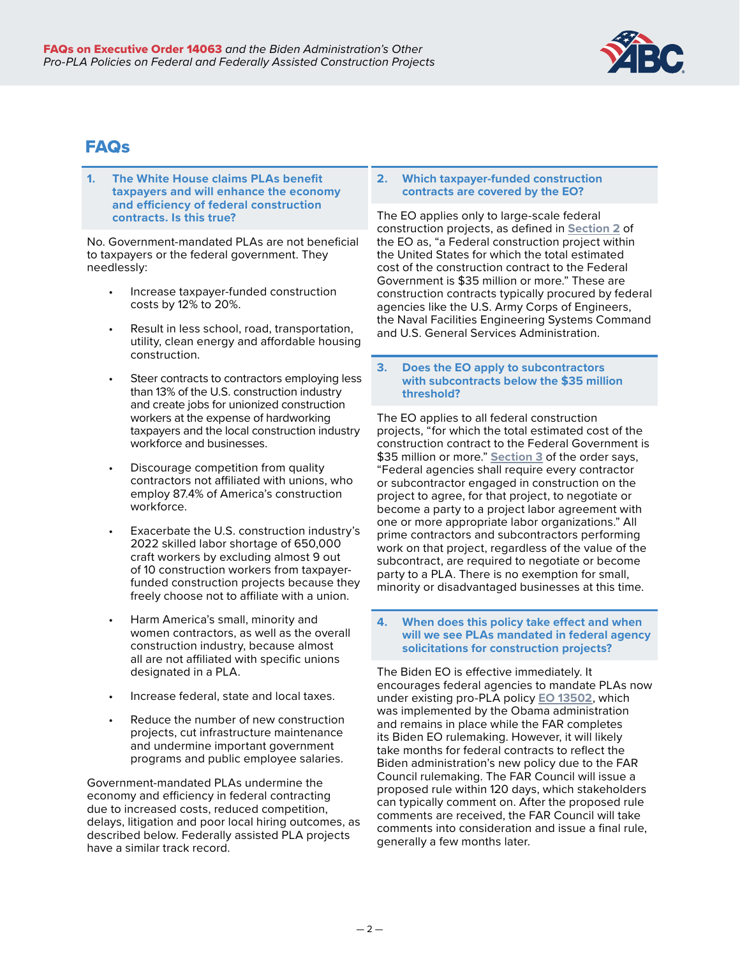

# FAQs

**1. The White House claims PLAs benefit taxpayers and will enhance the economy and efficiency of federal construction contracts. Is this true?**

No. Government-mandated PLAs are not beneficial to taxpayers or the federal government. They needlessly:

- Increase taxpayer-funded construction costs by 12% to 20%.
- Result in less school, road, transportation, utility, clean energy and affordable housing construction.
- Steer contracts to contractors employing less than 13% of the U.S. construction industry and create jobs for unionized construction workers at the expense of hardworking taxpayers and the local construction industry workforce and businesses.
- Discourage competition from quality contractors not affiliated with unions, who employ 87.4% of America's construction workforce.
- Exacerbate the U.S. construction industry's 2022 skilled labor shortage of 650,000 craft workers by excluding almost 9 out of 10 construction workers from taxpayerfunded construction projects because they freely choose not to affiliate with a union.
- Harm America's small, minority and women contractors, as well as the overall construction industry, because almost all are not affiliated with specific unions designated in a PLA.
- Increase federal, state and local taxes.
- Reduce the number of new construction projects, cut infrastructure maintenance and undermine important government programs and public employee salaries.

Government-mandated PLAs undermine the economy and efficiency in federal contracting due to increased costs, reduced competition, delays, litigation and poor local hiring outcomes, as described below. Federally assisted PLA projects have a similar track record.

# **2. Which taxpayer-funded construction contracts are covered by the EO?**

The EO applies only to large-scale federal construction projects, as defined in **[Section 2](https://www.federalregister.gov/d/2022-02869/p-5)** of the EO as, "a Federal construction project within the United States for which the total estimated cost of the construction contract to the Federal Government is \$35 million or more." These are construction contracts typically procured by federal agencies like the U.S. Army Corps of Engineers, the Naval Facilities Engineering Systems Command and U.S. General Services Administration.

# **3. Does the EO apply to subcontractors with subcontracts below the \$35 million threshold?**

The EO applies to all federal construction projects, "for which the total estimated cost of the construction contract to the Federal Government is \$35 million or more." **[Section 3](https://www.federalregister.gov/d/2022-02869/p-11)** of the order says, "Federal agencies shall require every contractor or subcontractor engaged in construction on the project to agree, for that project, to negotiate or become a party to a project labor agreement with one or more appropriate labor organizations." All prime contractors and subcontractors performing work on that project, regardless of the value of the subcontract, are required to negotiate or become party to a PLA. There is no exemption for small, minority or disadvantaged businesses at this time.

#### **4. When does this policy take effect and when will we see PLAs mandated in federal agency solicitations for construction projects?**

The Biden EO is effective immediately. It encourages federal agencies to mandate PLAs now under existing pro-PLA policy **[EO 13502](https://www.federalregister.gov/documents/2010/04/13/2010-8118/federal-acquisition-regulation-far-case-2009-005-use-of-project-labor-agreements-for-federal)**, which was implemented by the Obama administration and remains in place while the FAR completes its Biden EO rulemaking. However, it will likely take months for federal contracts to reflect the Biden administration's new policy due to the FAR Council rulemaking. The FAR Council will issue a proposed rule within 120 days, which stakeholders can typically comment on. After the proposed rule comments are received, the FAR Council will take comments into consideration and issue a final rule, generally a few months later.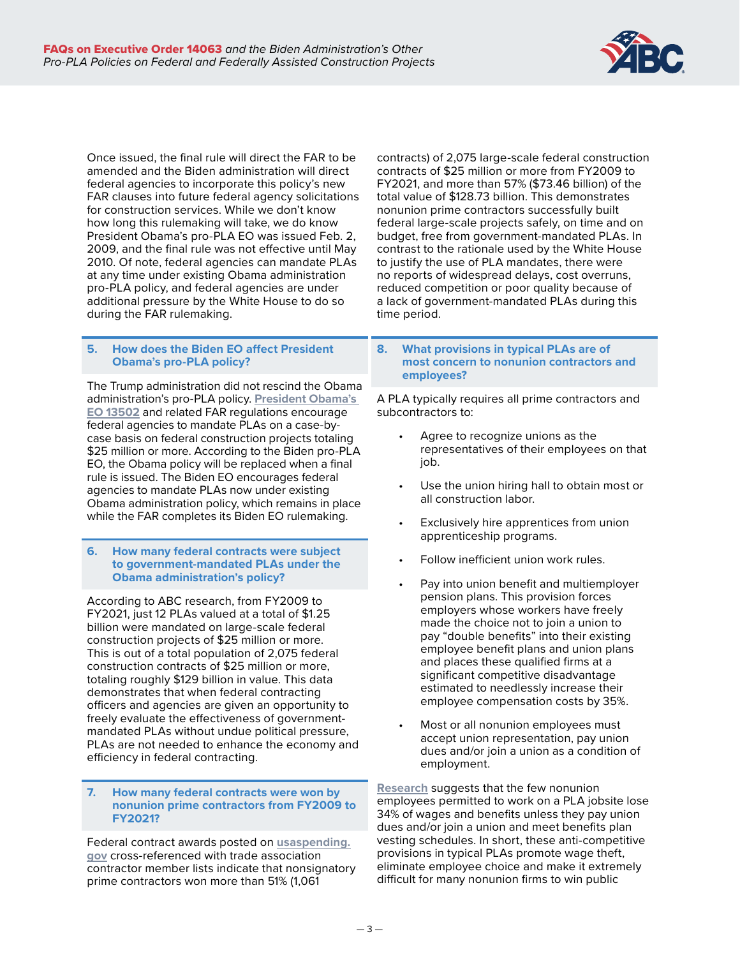

Once issued, the final rule will direct the FAR to be amended and the Biden administration will direct federal agencies to incorporate this policy's new FAR clauses into future federal agency solicitations for construction services. While we don't know how long this rulemaking will take, we do know President Obama's pro-PLA EO was issued Feb. 2, 2009, and the final rule was not effective until May 2010. Of note, federal agencies can mandate PLAs at any time under existing Obama administration pro-PLA policy, and federal agencies are under additional pressure by the White House to do so during the FAR rulemaking.

# **5. How does the Biden EO affect President Obama's pro-PLA policy?**

The Trump administration did not rescind the Obama administration's pro-PLA policy. **[President Obama's](https://www.federalregister.gov/documents/2010/04/13/2010-8118/federal-acquisition-regulation-far-case-2009-005-use-of-project-labor-agreements-for-federal)  [EO 13502](https://www.federalregister.gov/documents/2010/04/13/2010-8118/federal-acquisition-regulation-far-case-2009-005-use-of-project-labor-agreements-for-federal)** and related FAR regulations encourage federal agencies to mandate PLAs on a case-bycase basis on federal construction projects totaling \$25 million or more. According to the Biden pro-PLA EO, the Obama policy will be replaced when a final rule is issued. The Biden EO encourages federal agencies to mandate PLAs now under existing Obama administration policy, which remains in place while the FAR completes its Biden EO rulemaking.

#### **6. How many federal contracts were subject to government-mandated PLAs under the Obama administration's policy?**

According to ABC research, from FY2009 to FY2021, just 12 PLAs valued at a total of \$1.25 billion were mandated on large-scale federal construction projects of \$25 million or more. This is out of a total population of 2,075 federal construction contracts of \$25 million or more, totaling roughly \$129 billion in value. This data demonstrates that when federal contracting officers and agencies are given an opportunity to freely evaluate the effectiveness of governmentmandated PLAs without undue political pressure, PLAs are not needed to enhance the economy and efficiency in federal contracting.

#### **7. How many federal contracts were won by nonunion prime contractors from FY2009 to FY2021?**

Federal contract awards posted on **[usaspending.](https://www.usaspending.gov/) [gov](https://www.usaspending.gov/)** cross-referenced with trade association contractor member lists indicate that nonsignatory prime contractors won more than 51% (1,061

contracts) of 2,075 large-scale federal construction contracts of \$25 million or more from FY2009 to FY2021, and more than 57% (\$73.46 billion) of the total value of \$128.73 billion. This demonstrates nonunion prime contractors successfully built federal large-scale projects safely, on time and on budget, free from government-mandated PLAs. In contrast to the rationale used by the White House to justify the use of PLA mandates, there were no reports of widespread delays, cost overruns, reduced competition or poor quality because of a lack of government-mandated PLAs during this time period.

#### **8. What provisions in typical PLAs are of most concern to nonunion contractors and employees?**

A PLA typically requires all prime contractors and subcontractors to:

- Agree to recognize unions as the representatives of their employees on that job.
- Use the union hiring hall to obtain most or all construction labor.
- Exclusively hire apprentices from union apprenticeship programs.
- Follow inefficient union work rules.
- Pay into union benefit and multiemployer pension plans. This provision forces employers whose workers have freely made the choice not to join a union to pay "double benefits" into their existing employee benefit plans and union plans and places these qualified firms at a significant competitive disadvantage estimated to needlessly increase their employee compensation costs by 35%.
- Most or all nonunion employees must accept union representation, pay union dues and/or join a union as a condition of employment.

**[Research](https://buildamericalocal.com/wp-content/uploads/sites/18/2021/10/McGowan-Project-Labor-Agreement-and-Multiemployer-Pension-Study-October-2021.pdf)** suggests that the few nonunion employees permitted to work on a PLA jobsite lose 34% of wages and benefits unless they pay union dues and/or join a union and meet benefits plan vesting schedules. In short, these anti-competitive provisions in typical PLAs promote wage theft, eliminate employee choice and make it extremely difficult for many nonunion firms to win public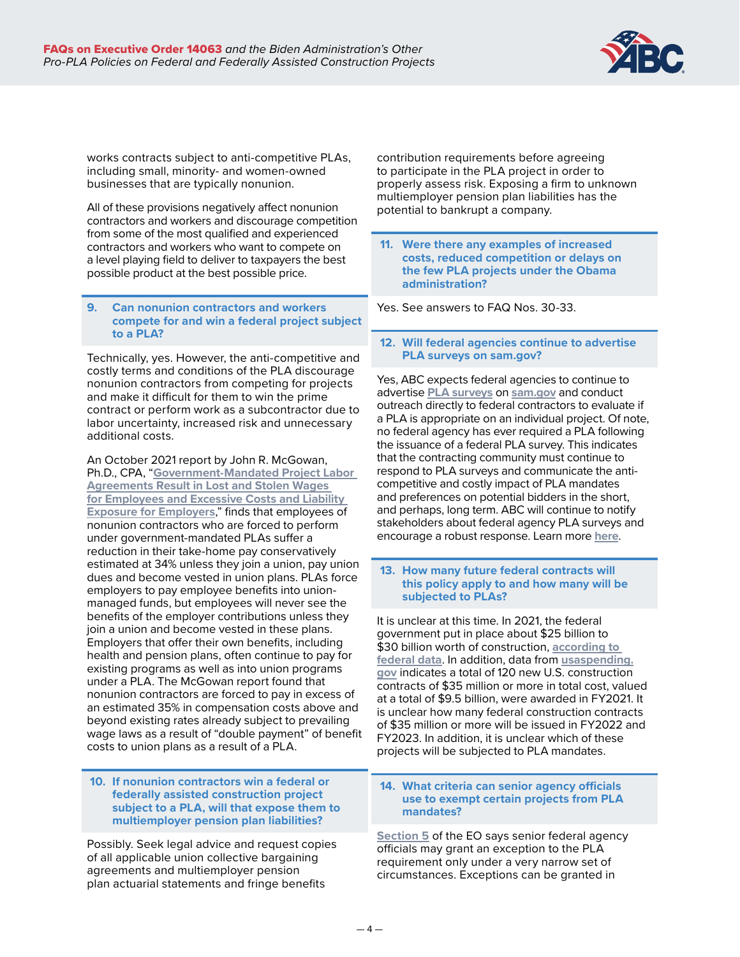

works contracts subject to anti-competitive PLAs, including small, minority- and women-owned businesses that are typically nonunion.

All of these provisions negatively affect nonunion contractors and workers and discourage competition from some of the most qualified and experienced contractors and workers who want to compete on a level playing field to deliver to taxpayers the best possible product at the best possible price.

**9. Can nonunion contractors and workers compete for and win a federal project subject to a PLA?**

Technically, yes. However, the anti-competitive and costly terms and conditions of the PLA discourage nonunion contractors from competing for projects and make it difficult for them to win the prime contract or perform work as a subcontractor due to labor uncertainty, increased risk and unnecessary additional costs.

An October 2021 report by John R. McGowan, Ph.D., CPA, "**[Government-Mandated Project Labor](https://buildamericalocal.com/wp-content/uploads/sites/18/2021/10/McGowan-Project-Labor-Agreement-and-Multiemployer-Pension-Study-October-2021.pdf)  [Agreements Result in Lost and Stolen Wages](https://buildamericalocal.com/wp-content/uploads/sites/18/2021/10/McGowan-Project-Labor-Agreement-and-Multiemployer-Pension-Study-October-2021.pdf)  [for Employees and Excessive Costs and Liability](https://buildamericalocal.com/wp-content/uploads/sites/18/2021/10/McGowan-Project-Labor-Agreement-and-Multiemployer-Pension-Study-October-2021.pdf)  [Exposure for Employers](https://buildamericalocal.com/wp-content/uploads/sites/18/2021/10/McGowan-Project-Labor-Agreement-and-Multiemployer-Pension-Study-October-2021.pdf)**," finds that employees of nonunion contractors who are forced to perform under government-mandated PLAs suffer a reduction in their take-home pay conservatively estimated at 34% unless they join a union, pay union dues and become vested in union plans. PLAs force employers to pay employee benefits into unionmanaged funds, but employees will never see the benefits of the employer contributions unless they join a union and become vested in these plans. Employers that offer their own benefits, including health and pension plans, often continue to pay for existing programs as well as into union programs under a PLA. The McGowan report found that nonunion contractors are forced to pay in excess of an estimated 35% in compensation costs above and beyond existing rates already subject to prevailing wage laws as a result of "double payment" of benefit costs to union plans as a result of a PLA.

#### **10. If nonunion contractors win a federal or federally assisted construction project subject to a PLA, will that expose them to multiemployer pension plan liabilities?**

Possibly. Seek legal advice and request copies of all applicable union collective bargaining agreements and multiemployer pension plan actuarial statements and fringe benefits

contribution requirements before agreeing to participate in the PLA project in order to properly assess risk. Exposing a firm to unknown multiemployer pension plan liabilities has the potential to bankrupt a company.

 **11. Were there any examples of increased costs, reduced competition or delays on the few PLA projects under the Obama administration?**

Yes. See answers to FAQ Nos. 30-33.

 **12. Will federal agencies continue to advertise PLA surveys on sam.gov?**

Yes, ABC expects federal agencies to continue to advertise **[PLA surveys](https://thetruthaboutplas.com/tag/pla-survey/)** on **[sam.gov](https://sam.gov/content/home)** and conduct outreach directly to federal contractors to evaluate if a PLA is appropriate on an individual project. Of note, no federal agency has ever required a PLA following the issuance of a federal PLA survey. This indicates that the contracting community must continue to respond to PLA surveys and communicate the anticompetitive and costly impact of PLA mandates and preferences on potential bidders in the short, and perhaps, long term. ABC will continue to notify stakeholders about federal agency PLA surveys and encourage a robust response. Learn more **[here](https://nationalconnections.abc.org/Portals/10/GA/March%202022_Memo%20on%20Federal%20Agency%20PLA%20Surveys.pdf?ver=2022-03-03-121912-130)**.

#### **13. How many future federal contracts will this policy apply to and how many will be subjected to PLAs?**

It is unclear at this time. In 2021, the federal government put in place about \$25 billion to \$30 billion worth of construction, **[according to](https://www.census.gov/construction/c30/historical_data.html)  [federal data](https://www.census.gov/construction/c30/historical_data.html)**. In addition, data from **[usaspending.](https://www.usaspending.gov/) [gov](https://www.usaspending.gov/)** indicates a total of 120 new U.S. construction contracts of \$35 million or more in total cost, valued at a total of \$9.5 billion, were awarded in FY2021. It is unclear how many federal construction contracts of \$35 million or more will be issued in FY2022 and FY2023. In addition, it is unclear which of these projects will be subjected to PLA mandates.

#### **14. What criteria can senior agency officials use to exempt certain projects from PLA mandates?**

**[Section 5](https://www.federalregister.gov/d/2022-02869/p-19)** of the EO says senior federal agency officials may grant an exception to the PLA requirement only under a very narrow set of circumstances. Exceptions can be granted in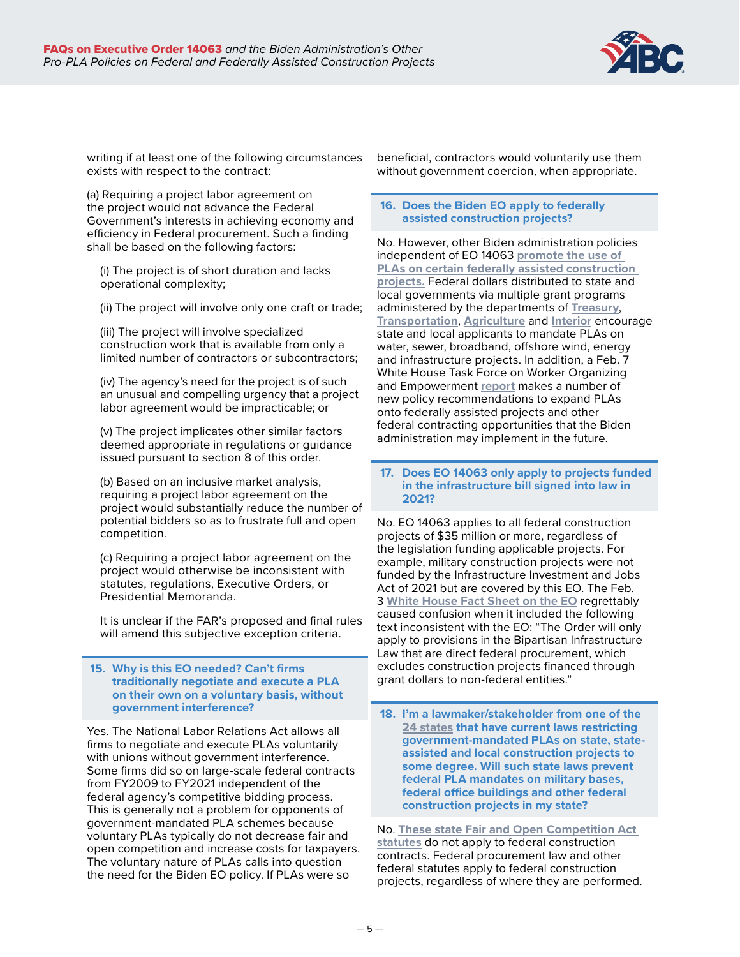

writing if at least one of the following circumstances exists with respect to the contract:

(a) Requiring a project labor agreement on the project would not advance the Federal Government's interests in achieving economy and efficiency in Federal procurement. Such a finding shall be based on the following factors:

(i) The project is of short duration and lacks operational complexity;

(ii) The project will involve only one craft or trade;

(iii) The project will involve specialized construction work that is available from only a limited number of contractors or subcontractors;

(iv) The agency's need for the project is of such an unusual and compelling urgency that a project labor agreement would be impracticable; or

(v) The project implicates other similar factors deemed appropriate in regulations or guidance issued pursuant to section 8 of this order.

(b) Based on an inclusive market analysis, requiring a project labor agreement on the project would substantially reduce the number of potential bidders so as to frustrate full and open competition.

(c) Requiring a project labor agreement on the project would otherwise be inconsistent with statutes, regulations, Executive Orders, or Presidential Memoranda.

It is unclear if the FAR's proposed and final rules will amend this subjective exception criteria.

#### **15. Why is this EO needed? Can't firms traditionally negotiate and execute a PLA on their own on a voluntary basis, without government interference?**

Yes. The National Labor Relations Act allows all firms to negotiate and execute PLAs voluntarily with unions without government interference. Some firms did so on large-scale federal contracts from FY2009 to FY2021 independent of the federal agency's competitive bidding process. This is generally not a problem for opponents of government-mandated PLA schemes because voluntary PLAs typically do not decrease fair and open competition and increase costs for taxpayers. The voluntary nature of PLAs calls into question the need for the Biden EO policy. If PLAs were so

beneficial, contractors would voluntarily use them without government coercion, when appropriate.

# **16. Does the Biden EO apply to federally assisted construction projects?**

No. However, other Biden administration policies independent of EO 14063 **[promote the use of](https://abc.org/News-Media/Newsline/entryid/19227/gop-governors-push-back-on-union-favoritism-in-white-house-infrastructure-funding-policies)  [PLAs on certain federally assisted construction](https://abc.org/News-Media/Newsline/entryid/19227/gop-governors-push-back-on-union-favoritism-in-white-house-infrastructure-funding-policies)  [projects](https://abc.org/News-Media/Newsline/entryid/19227/gop-governors-push-back-on-union-favoritism-in-white-house-infrastructure-funding-policies).** Federal dollars distributed to state and local governments via multiple grant programs administered by the departments of **[Treasury](https://home.treasury.gov/policy-issues/coronavirus/assistance-for-state-local-and-tribal-governments/state-and-local-fiscal-recovery-funds)**, **Transportation**, **[Agriculture](https://www.federalregister.gov/documents/2021/10/25/2021-23128/rural-econnectivity-program)** and **[Interior](https://www.federalregister.gov/documents/2021/11/01/2021-23801/atlantic-wind-lease-sale-9-atlw-9-for-commercial-leasing-for-wind-power-on-the-outer-continental)** encourage state and local applicants to mandate PLAs on water, sewer, broadband, offshore wind, energy and infrastructure projects. In addition, a Feb. 7 White House Task Force on Worker Organizing and Empowerment **[report](https://www.abc.org/News-Media/News-Releases/entryid/19235/abc-white-house-union-report-fails-to-create-opportunities-for-all-of-the-construction-industry)** makes a number of new policy recommendations to expand PLAs onto federally assisted projects and other federal contracting opportunities that the Biden administration may implement in the future.

# **17. Does EO 14063 only apply to projects funded in the infrastructure bill signed into law in 2021?**

No. EO 14063 applies to all federal construction projects of \$35 million or more, regardless of the legislation funding applicable projects. For example, military construction projects were not funded by the Infrastructure Investment and Jobs Act of 2021 but are covered by this EO. The Feb. 3 **[White House Fact Sheet on the EO](https://www.whitehouse.gov/briefing-room/statements-releases/2022/02/03/fact-sheet-president-biden-signs-executive-order-to-boost-quality-of-federal-construction-projects/)** regrettably caused confusion when it included the following text inconsistent with the EO: "The Order will only apply to provisions in the Bipartisan Infrastructure Law that are direct federal procurement, which excludes construction projects financed through grant dollars to non-federal entities."

 **18. I'm a lawmaker/stakeholder from one of the [24 states](https://www.abc.org/Portals/1/2021%20Files/Map_FairCompetition(June).PNG?ver=2021-06-29-132759-323) that have current laws restricting government-mandated PLAs on state, stateassisted and local construction projects to some degree. Will such state laws prevent federal PLA mandates on military bases, federal office buildings and other federal construction projects in my state?**

No. **[These state Fair and Open Competition Act](https://www.abc.org/Portals/1/2021%20Files/Current-State-FOCA-Laws-GMPLA-Bans-through-Virginia%20Repeal-Updated-June-2021.xlsx?ver=2021-06-29-120347-173)  [statutes](https://www.abc.org/Portals/1/2021%20Files/Current-State-FOCA-Laws-GMPLA-Bans-through-Virginia%20Repeal-Updated-June-2021.xlsx?ver=2021-06-29-120347-173)** do not apply to federal construction contracts. Federal procurement law and other federal statutes apply to federal construction projects, regardless of where they are performed.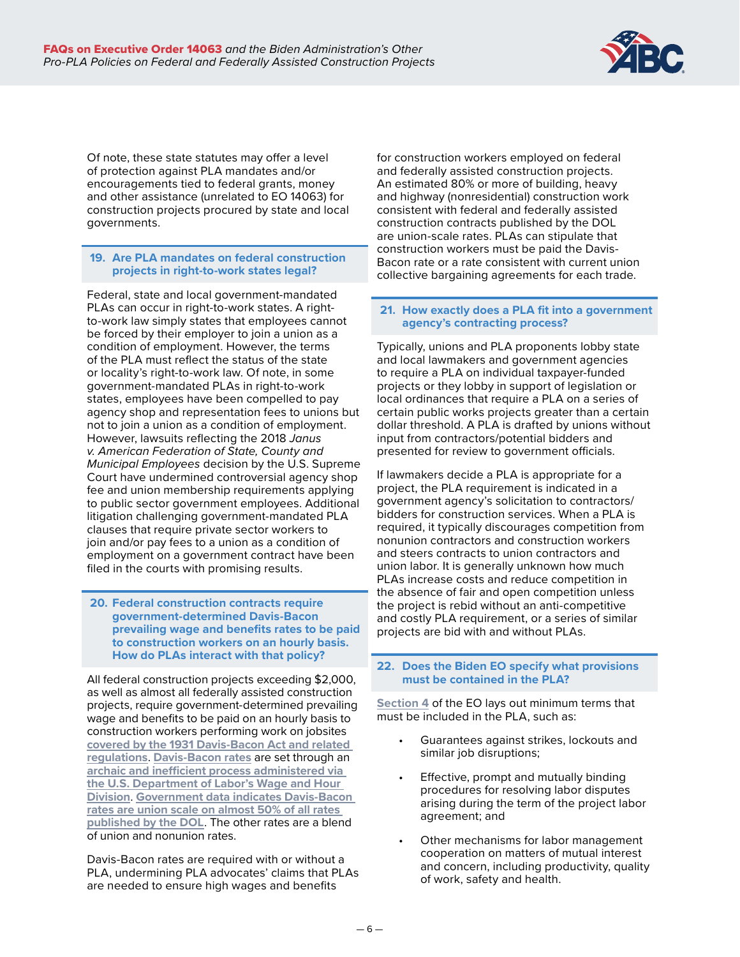

Of note, these state statutes may offer a level of protection against PLA mandates and/or encouragements tied to federal grants, money and other assistance (unrelated to EO 14063) for construction projects procured by state and local governments.

# **19. Are PLA mandates on federal construction projects in right-to-work states legal?**

Federal, state and local government-mandated PLAs can occur in right-to-work states. A rightto-work law simply states that employees cannot be forced by their employer to join a union as a condition of employment. However, the terms of the PLA must reflect the status of the state or locality's right-to-work law. Of note, in some government-mandated PLAs in right-to-work states, employees have been compelled to pay agency shop and representation fees to unions but not to join a union as a condition of employment. However, lawsuits reflecting the 2018 *Janus v. American Federation of State, County and Municipal Employees* decision by the U.S. Supreme Court have undermined controversial agency shop fee and union membership requirements applying to public sector government employees. Additional litigation challenging government-mandated PLA clauses that require private sector workers to join and/or pay fees to a union as a condition of employment on a government contract have been filed in the courts with promising results.

#### **20. Federal construction contracts require government-determined Davis-Bacon prevailing wage and benefits rates to be paid to construction workers on an hourly basis. How do PLAs interact with that policy?**

All federal construction projects exceeding \$2,000, as well as almost all federally assisted construction projects, require government-determined prevailing wage and benefits to be paid on an hourly basis to construction workers performing work on jobsites **[covered by the 1931 Davis-Bacon Act and related](https://www.dol.gov/agencies/whd/government-contracts/construction)  [regulations](https://www.dol.gov/agencies/whd/government-contracts/construction)**. **[Davis-Bacon rates](https://sam.gov/search/?index=dbra&page=1&pageSize=25&sort=-modifiedDate&sfm%5Bstatus%5D%5Bis_active%5D=true&sfm%5BsimpleSearch%5D%5BkeywordRadio%5D=ALL)** are set through an **[archaic and inefficient process administered via](https://www.heritage.org/jobs-and-labor/report/labor-department-can-create-jobs-calculating-davis-bacon-rates-more)  [the U.S. Department of Labor's Wage and Hour](https://www.heritage.org/jobs-and-labor/report/labor-department-can-create-jobs-calculating-davis-bacon-rates-more)  [Division](https://www.heritage.org/jobs-and-labor/report/labor-department-can-create-jobs-calculating-davis-bacon-rates-more)**. **[Government data indicates Davis-Bacon](https://www.oig.dol.gov/public/reports/oa/2019/04-19-001-15-001.pdf)  [rates are union scale on almost 50% of all rates](https://www.oig.dol.gov/public/reports/oa/2019/04-19-001-15-001.pdf)  [published by the DOL](https://www.oig.dol.gov/public/reports/oa/2019/04-19-001-15-001.pdf)**. The other rates are a blend of union and nonunion rates.

Davis-Bacon rates are required with or without a PLA, undermining PLA advocates' claims that PLAs are needed to ensure high wages and benefits

for construction workers employed on federal and federally assisted construction projects. An estimated 80% or more of building, heavy and highway (nonresidential) construction work consistent with federal and federally assisted construction contracts published by the DOL are union-scale rates. PLAs can stipulate that construction workers must be paid the Davis-Bacon rate or a rate consistent with current union collective bargaining agreements for each trade.

# **21. How exactly does a PLA fit into a government agency's contracting process?**

Typically, unions and PLA proponents lobby state and local lawmakers and government agencies to require a PLA on individual taxpayer-funded projects or they lobby in support of legislation or local ordinances that require a PLA on a series of certain public works projects greater than a certain dollar threshold. A PLA is drafted by unions without input from contractors/potential bidders and presented for review to government officials.

If lawmakers decide a PLA is appropriate for a project, the PLA requirement is indicated in a government agency's solicitation to contractors/ bidders for construction services. When a PLA is required, it typically discourages competition from nonunion contractors and construction workers and steers contracts to union contractors and union labor. It is generally unknown how much PLAs increase costs and reduce competition in the absence of fair and open competition unless the project is rebid without an anti-competitive and costly PLA requirement, or a series of similar projects are bid with and without PLAs.

# **22. Does the Biden EO specify what provisions must be contained in the PLA?**

**[Section 4](https://www.federalregister.gov/d/2022-02869/p-12)** of the EO lays out minimum terms that must be included in the PLA, such as:

- Guarantees against strikes, lockouts and similar job disruptions;
- Effective, prompt and mutually binding procedures for resolving labor disputes arising during the term of the project labor agreement; and
- Other mechanisms for labor management cooperation on matters of mutual interest and concern, including productivity, quality of work, safety and health.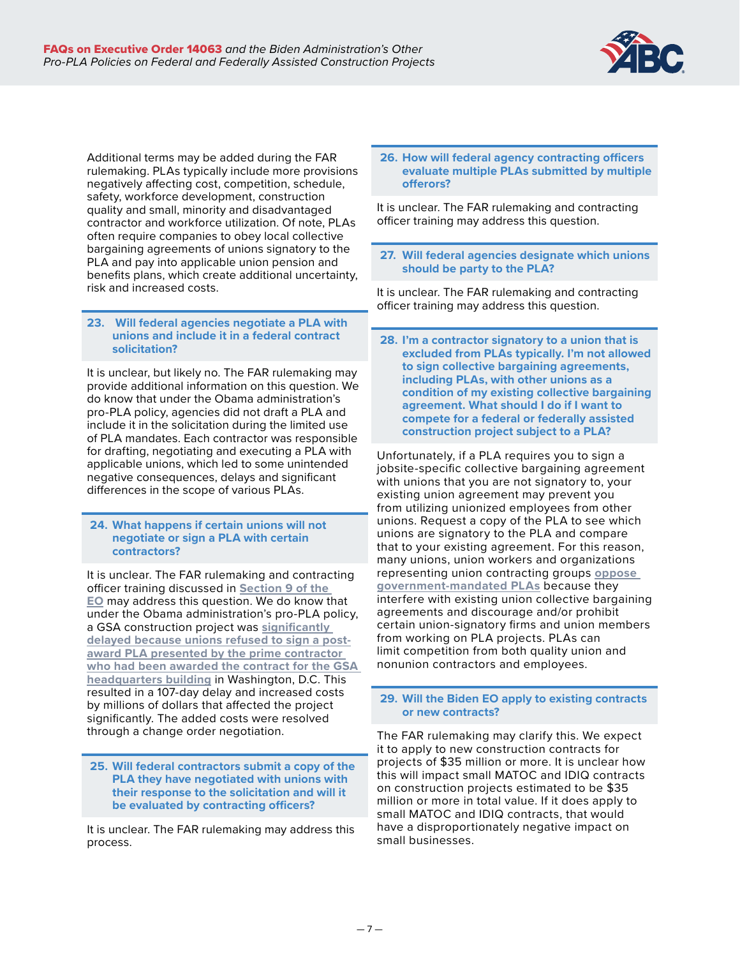

Additional terms may be added during the FAR rulemaking. PLAs typically include more provisions negatively affecting cost, competition, schedule, safety, workforce development, construction quality and small, minority and disadvantaged contractor and workforce utilization. Of note, PLAs often require companies to obey local collective bargaining agreements of unions signatory to the PLA and pay into applicable union pension and benefits plans, which create additional uncertainty, risk and increased costs.

# **23. Will federal agencies negotiate a PLA with unions and include it in a federal contract solicitation?**

It is unclear, but likely no. The FAR rulemaking may provide additional information on this question. We do know that under the Obama administration's pro-PLA policy, agencies did not draft a PLA and include it in the solicitation during the limited use of PLA mandates. Each contractor was responsible for drafting, negotiating and executing a PLA with applicable unions, which led to some unintended negative consequences, delays and significant differences in the scope of various PLAs.

#### **24. What happens if certain unions will not negotiate or sign a PLA with certain contractors?**

It is unclear. The FAR rulemaking and contracting officer training discussed in **[Section 9 of the](https://www.federalregister.gov/d/2022-02869/p-33)  [EO](https://www.federalregister.gov/d/2022-02869/p-33)** may address this question. We do know that under the Obama administration's pro-PLA policy, a GSA construction project was **[significantly](https://thetruthaboutplas.com/2013/03/05/delays-and-increased-costs-the-truth-about-the-failed-pla-on-the-gsas-1800-f-street-federal-building/)  [delayed because unions refused to sign a post](https://thetruthaboutplas.com/2013/03/05/delays-and-increased-costs-the-truth-about-the-failed-pla-on-the-gsas-1800-f-street-federal-building/)[award PLA presented by the prime contractor](https://thetruthaboutplas.com/2013/03/05/delays-and-increased-costs-the-truth-about-the-failed-pla-on-the-gsas-1800-f-street-federal-building/)  [who had been awarded the contract for the GSA](https://thetruthaboutplas.com/2013/03/05/delays-and-increased-costs-the-truth-about-the-failed-pla-on-the-gsas-1800-f-street-federal-building/)  [headquarters building](https://thetruthaboutplas.com/2013/03/05/delays-and-increased-costs-the-truth-about-the-failed-pla-on-the-gsas-1800-f-street-federal-building/)** in Washington, D.C. This resulted in a 107-day delay and increased costs by millions of dollars that affected the project significantly. The added costs were resolved through a change order negotiation.

#### **25. Will federal contractors submit a copy of the PLA they have negotiated with unions with their response to the solicitation and will it be evaluated by contracting officers?**

It is unclear. The FAR rulemaking may address this process.

#### **26. How will federal agency contracting officers evaluate multiple PLAs submitted by multiple offerors?**

It is unclear. The FAR rulemaking and contracting officer training may address this question.

# **27. Will federal agencies designate which unions should be party to the PLA?**

It is unclear. The FAR rulemaking and contracting officer training may address this question.

 **28. I'm a contractor signatory to a union that is excluded from PLAs typically. I'm not allowed to sign collective bargaining agreements, including PLAs, with other unions as a condition of my existing collective bargaining agreement. What should I do if I want to compete for a federal or federally assisted construction project subject to a PLA?**

Unfortunately, if a PLA requires you to sign a jobsite-specific collective bargaining agreement with unions that you are not signatory to, your existing union agreement may prevent you from utilizing unionized employees from other unions. Request a copy of the PLA to see which unions are signatory to the PLA and compare that to your existing agreement. For this reason, many unions, union workers and organizations representing union contracting groups **[oppose](https://thetruthaboutplas.com/tag/unions-oppose-pla-mandates/)  [government-mandated PLAs](https://thetruthaboutplas.com/tag/unions-oppose-pla-mandates/)** because they interfere with existing union collective bargaining agreements and discourage and/or prohibit certain union-signatory firms and union members from working on PLA projects. PLAs can limit competition from both quality union and nonunion contractors and employees.

#### **29. Will the Biden EO apply to existing contracts or new contracts?**

The FAR rulemaking may clarify this. We expect it to apply to new construction contracts for projects of \$35 million or more. It is unclear how this will impact small MATOC and IDIQ contracts on construction projects estimated to be \$35 million or more in total value. If it does apply to small MATOC and IDIQ contracts, that would have a disproportionately negative impact on small businesses.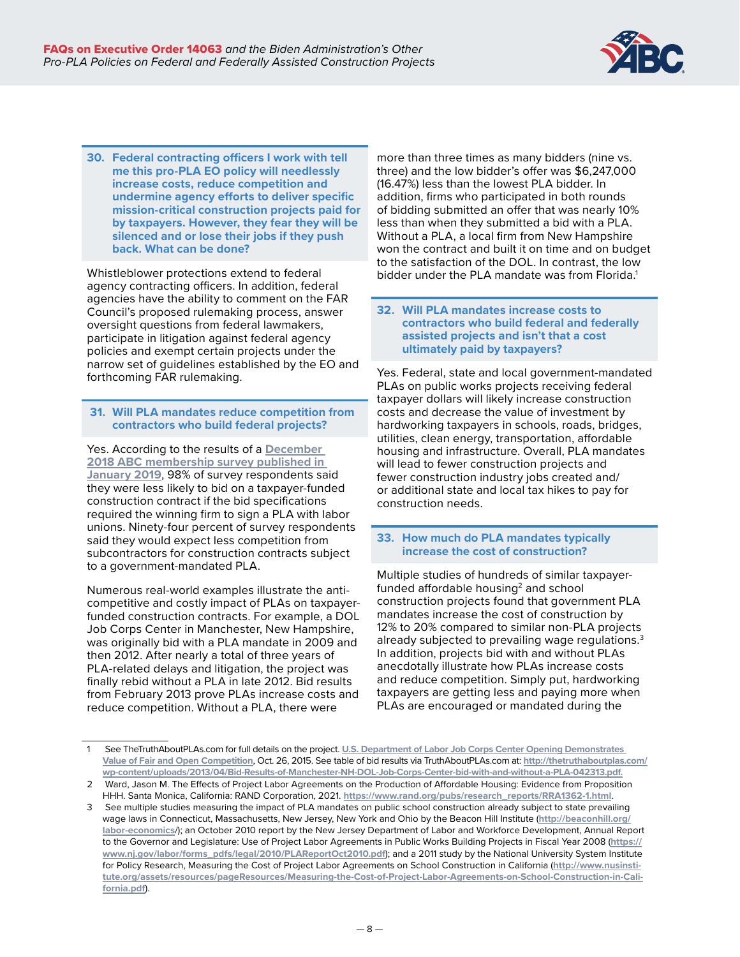

**30. Federal contracting officers I work with tell me this pro-PLA EO policy will needlessly increase costs, reduce competition and undermine agency efforts to deliver specific mission-critical construction projects paid for by taxpayers. However, they fear they will be silenced and or lose their jobs if they push back. What can be done?**

Whistleblower protections extend to federal agency contracting officers. In addition, federal agencies have the ability to comment on the FAR Council's proposed rulemaking process, answer oversight questions from federal lawmakers, participate in litigation against federal agency policies and exempt certain projects under the narrow set of guidelines established by the EO and forthcoming FAR rulemaking.

# **31. Will PLA mandates reduce competition from contractors who build federal projects?**

Yes. According to the results of a **[December](http://www.abc.org/News-Media/Newsline/entryid/16019/survey-abc-members-strongly-oppose-government-mandated-plas)  [2018 ABC membership survey published in](http://www.abc.org/News-Media/Newsline/entryid/16019/survey-abc-members-strongly-oppose-government-mandated-plas)  [January 2019](http://www.abc.org/News-Media/Newsline/entryid/16019/survey-abc-members-strongly-oppose-government-mandated-plas)**, 98% of survey respondents said they were less likely to bid on a taxpayer-funded construction contract if the bid specifications required the winning firm to sign a PLA with labor unions. Ninety-four percent of survey respondents said they would expect less competition from subcontractors for construction contracts subject to a government-mandated PLA.

Numerous real-world examples illustrate the anticompetitive and costly impact of PLAs on taxpayerfunded construction contracts. For example, a DOL Job Corps Center in Manchester, New Hampshire, was originally bid with a PLA mandate in 2009 and then 2012. After nearly a total of three years of PLA-related delays and litigation, the project was finally rebid without a PLA in late 2012. Bid results from February 2013 prove PLAs increase costs and reduce competition. Without a PLA, there were

more than three times as many bidders (nine vs. three) and the low bidder's offer was \$6,247,000 (16.47%) less than the lowest PLA bidder. In addition, firms who participated in both rounds of bidding submitted an offer that was nearly 10% less than when they submitted a bid with a PLA. Without a PLA, a local firm from New Hampshire won the contract and built it on time and on budget to the satisfaction of the DOL. In contrast, the low bidder under the PLA mandate was from Florida.<sup>1</sup>

# **32. Will PLA mandates increase costs to contractors who build federal and federally assisted projects and isn't that a cost ultimately paid by taxpayers?**

Yes. Federal, state and local government-mandated PLAs on public works projects receiving federal taxpayer dollars will likely increase construction costs and decrease the value of investment by hardworking taxpayers in schools, roads, bridges, utilities, clean energy, transportation, affordable housing and infrastructure. Overall, PLA mandates will lead to fewer construction projects and fewer construction industry jobs created and/ or additional state and local tax hikes to pay for construction needs.

# **33. How much do PLA mandates typically increase the cost of construction?**

Multiple studies of hundreds of similar taxpayerfunded affordable housing<sup>2</sup> and school construction projects found that government PLA mandates increase the cost of construction by 12% to 20% compared to similar non-PLA projects already subjected to prevailing wage regulations. $3$ In addition, projects bid with and without PLAs anecdotally illustrate how PLAs increase costs and reduce competition. Simply put, hardworking taxpayers are getting less and paying more when PLAs are encouraged or mandated during the

<sup>1</sup> See TheTruthAboutPLAs.com for full details on the project. **[U.S. Department of Labor Job Corps Center Opening Demonstrates](https://thetruthaboutplas.com/2015/10/26/u-s-department-of-labor-job-corps-center-opening-demonstrates-value-of-open-competition/)  [Value of Fair and Open Competition](https://thetruthaboutplas.com/2015/10/26/u-s-department-of-labor-job-corps-center-opening-demonstrates-value-of-open-competition/)**, Oct. 26, 2015. See table of bid results via TruthAboutPLAs.com at: **[http://thetruthaboutplas.com/](http://thetruthaboutplas.com/wp-content/uploads/2013/04/Bid-Results-of-Manchester-NH-DOL-Job-Corps-Center-bid-with-and-without-a-PLA-042313.pdf) [wp-content/uploads/2013/04/Bid-Results-of-Manchester-NH-DOL-Job-Corps-Center-bid-with-and-without-a-PLA-042313.pdf.](http://thetruthaboutplas.com/wp-content/uploads/2013/04/Bid-Results-of-Manchester-NH-DOL-Job-Corps-Center-bid-with-and-without-a-PLA-042313.pdf)**

<sup>2</sup> Ward, Jason M. The Effects of Project Labor Agreements on the Production of Affordable Housing: Evidence from Proposition HHH. Santa Monica, California: RAND Corporation, 2021. **[https://www.rand.org/pubs/research\\_reports/RRA1362-1.html](https://www.rand.org/pubs/research_reports/RRA1362-1.html)**.

<sup>3</sup> See multiple studies measuring the impact of PLA mandates on public school construction already subject to state prevailing wage laws in Connecticut, Massachusetts, New Jersey, New York and Ohio by the Beacon Hill Institute (**[http://beaconhill.org/](http://beaconhill.org/labor-economics) [labor-economics](http://beaconhill.org/labor-economics)**/); an October 2010 report by the New Jersey Department of Labor and Workforce Development, Annual Report to the Governor and Legislature: Use of Project Labor Agreements in Public Works Building Projects in Fiscal Year 2008 (**[https://](https://www.nj.gov/labor/forms_pdfs/legal/2010/PLAReportOct2010.pdf) [www.nj.gov/labor/forms\\_pdfs/legal/2010/PLAReportOct2010.pdf](https://www.nj.gov/labor/forms_pdfs/legal/2010/PLAReportOct2010.pdf)**); and a 2011 study by the National University System Institute for Policy Research, Measuring the Cost of Project Labor Agreements on School Construction in California (**[http://www.nusinsti](http://www.nusinstitute.org/assets/resources/pageResources/Measuring-the-Cost-of-Project-Labor-Agreements-on-School-Construction-in-California.pdf)[tute.org/assets/resources/pageResources/Measuring-the-Cost-of-Project-Labor-Agreements-on-School-Construction-in-Cali](http://www.nusinstitute.org/assets/resources/pageResources/Measuring-the-Cost-of-Project-Labor-Agreements-on-School-Construction-in-California.pdf)[fornia.pdf](http://www.nusinstitute.org/assets/resources/pageResources/Measuring-the-Cost-of-Project-Labor-Agreements-on-School-Construction-in-California.pdf)**).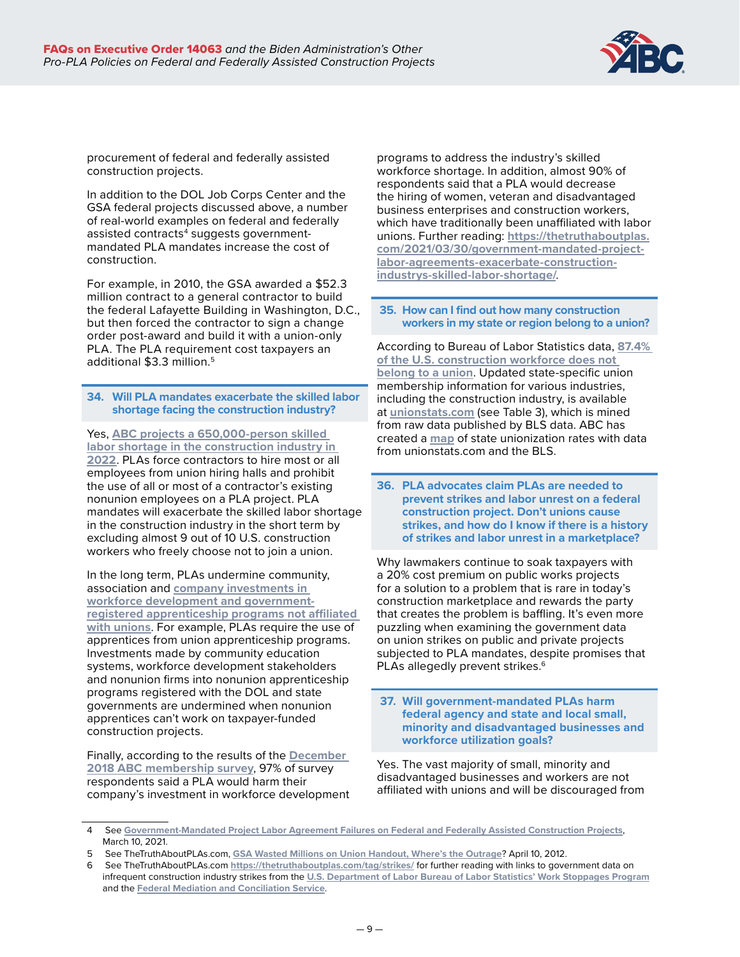

procurement of federal and federally assisted construction projects.

In addition to the DOL Job Corps Center and the GSA federal projects discussed above, a number of real-world examples on federal and federally assisted contracts $\rm ^4$  suggests governmentmandated PLA mandates increase the cost of construction.

For example, in 2010, the GSA awarded a \$52.3 million contract to a general contractor to build the federal Lafayette Building in Washington, D.C., but then forced the contractor to sign a change order post-award and build it with a union-only PLA. The PLA requirement cost taxpayers an additional \$3.3 million.<sup>5</sup>

**34. Will PLA mandates exacerbate the skilled labor shortage facing the construction industry?**

Yes, **[ABC projects a 650,000-person skilled](https://www.abc.org/News-Media/News-Releases/entryid/19255/abc-construction-industry-faces-workforce-shortage-of-650-000-in-2022)  [labor shortage in the construction industry in](https://www.abc.org/News-Media/News-Releases/entryid/19255/abc-construction-industry-faces-workforce-shortage-of-650-000-in-2022)  [2022](https://www.abc.org/News-Media/News-Releases/entryid/19255/abc-construction-industry-faces-workforce-shortage-of-650-000-in-2022)**. PLAs force contractors to hire most or all employees from union hiring halls and prohibit the use of all or most of a contractor's existing nonunion employees on a PLA project. PLA mandates will exacerbate the skilled labor shortage in the construction industry in the short term by excluding almost 9 out of 10 U.S. construction workers who freely choose not to join a union.

In the long term, PLAs undermine community, association and **[company investments in](https://www.abc.org/News-Media/News-Releases/entryid/18774/survey-abc-members-invested-1-3-billion-in-construction-workforce-education-in-2020)  [workforce development and government](https://www.abc.org/News-Media/News-Releases/entryid/18774/survey-abc-members-invested-1-3-billion-in-construction-workforce-education-in-2020)[registered apprenticeship programs not affiliated](https://www.abc.org/News-Media/News-Releases/entryid/18774/survey-abc-members-invested-1-3-billion-in-construction-workforce-education-in-2020)  [with unions](https://www.abc.org/News-Media/News-Releases/entryid/18774/survey-abc-members-invested-1-3-billion-in-construction-workforce-education-in-2020)**. For example, PLAs require the use of apprentices from union apprenticeship programs. Investments made by community education systems, workforce development stakeholders and nonunion firms into nonunion apprenticeship programs registered with the DOL and state governments are undermined when nonunion apprentices can't work on taxpayer-funded construction projects.

Finally, according to the results of the **[December](http://www.abc.org/News-Media/Newsline/entryid/16019/survey-abc-members-strongly-oppose-government-mandated-plas)  [2018 ABC membership survey](http://www.abc.org/News-Media/Newsline/entryid/16019/survey-abc-members-strongly-oppose-government-mandated-plas)**, 97% of survey respondents said a PLA would harm their company's investment in workforce development programs to address the industry's skilled workforce shortage. In addition, almost 90% of respondents said that a PLA would decrease the hiring of women, veteran and disadvantaged business enterprises and construction workers, which have traditionally been unaffiliated with labor unions. Further reading: **[https://thetruthaboutplas.](https://thetruthaboutplas.com/2021/03/30/government-mandated-project-labor-agreements-exacerbate-construction-industrys-skilled-labor-shortage/) [com/2021/03/30/government-mandated-project](https://thetruthaboutplas.com/2021/03/30/government-mandated-project-labor-agreements-exacerbate-construction-industrys-skilled-labor-shortage/)[labor-agreements-exacerbate-construction](https://thetruthaboutplas.com/2021/03/30/government-mandated-project-labor-agreements-exacerbate-construction-industrys-skilled-labor-shortage/)[industrys-skilled-labor-shortage/](https://thetruthaboutplas.com/2021/03/30/government-mandated-project-labor-agreements-exacerbate-construction-industrys-skilled-labor-shortage/)**.

 **35. How can I find out how many construction workers in my state or region belong to a union?**

According to Bureau of Labor Statistics data, **[87.4%](https://thetruthaboutplas.com/2022/02/02/bls-87-4-of-construction-industry-does-not-belong-to-a-union/)  [of the U.S. construction workforce does not](https://thetruthaboutplas.com/2022/02/02/bls-87-4-of-construction-industry-does-not-belong-to-a-union/)  [belong to a union](https://thetruthaboutplas.com/2022/02/02/bls-87-4-of-construction-industry-does-not-belong-to-a-union/)**. Updated state-specific union membership information for various industries, including the construction industry, is available at **[unionstats.com](http://unionstats.com)** (see Table 3), which is mined from raw data published by BLS data. ABC has created a **[map](https://thetruthaboutplas.com/wp-content/uploads/2022/02/Nonunion-Workforce-Density-Construction-2021-Unionstatsdotcom-020222-1.png)** of state unionization rates with data from unionstats.com and the BLS.

**36. PLA advocates claim PLAs are needed to prevent strikes and labor unrest on a federal construction project. Don't unions cause strikes, and how do I know if there is a history of strikes and labor unrest in a marketplace?**

Why lawmakers continue to soak taxpayers with a 20% cost premium on public works projects for a solution to a problem that is rare in today's construction marketplace and rewards the party that creates the problem is baffling. It's even more puzzling when examining the government data on union strikes on public and private projects subjected to PLA mandates, despite promises that PLAs allegedly prevent strikes.<sup>6</sup>

 **37. Will government-mandated PLAs harm federal agency and state and local small, minority and disadvantaged businesses and workforce utilization goals?**

Yes. The vast majority of small, minority and disadvantaged businesses and workers are not affiliated with unions and will be discouraged from

<sup>4</sup> See **[Government-Mandated Project Labor Agreement Failures on Federal and Federally Assisted Construction Projects](https://thetruthaboutplas.com/2021/03/10/government-mandated-project-labor-agreement-failures-on-federal-and-federally-assisted-construction-projects/)**, March 10, 2021.

<sup>5</sup> See TheTruthAboutPLAs.com, **[GSA Wasted Millions on Union Handout, Where's the Outrage](http://thetruthaboutplas.com/2012/04/10/gsa-wasted-millions-on-union-handout-wheres-the-outrage/)**? April 10, 2012.

<sup>6</sup> See TheTruthAboutPLAs.com **<https://thetruthaboutplas.com/tag/strikes/>** for further reading with links to government data on infrequent construction industry strikes from the **[U.S. Department of Labor Bureau of Labor Statistics' Work Stoppages Program](https://www.bls.gov/web/wkstp/annual-listing.htm)** and the **[Federal Mediation and Conciliation Service](https://www.fmcs.gov/resources/documents-and-data/)**.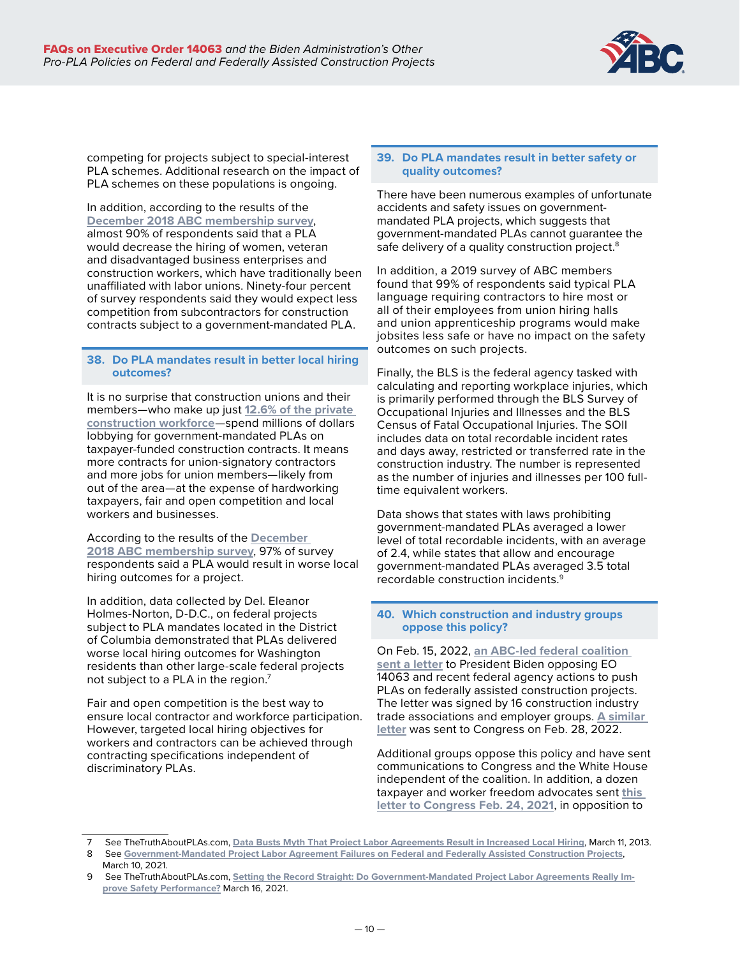

competing for projects subject to special-interest PLA schemes. Additional research on the impact of PLA schemes on these populations is ongoing.

In addition, according to the results of the **[December 2018 ABC membership survey](http://www.abc.org/News-Media/Newsline/entryid/16019/survey-abc-members-strongly-oppose-government-mandated-plas)**, almost 90% of respondents said that a PLA would decrease the hiring of women, veteran and disadvantaged business enterprises and construction workers, which have traditionally been unaffiliated with labor unions. Ninety-four percent of survey respondents said they would expect less competition from subcontractors for construction contracts subject to a government-mandated PLA.

#### **38. Do PLA mandates result in better local hiring outcomes?**

It is no surprise that construction unions and their members—who make up just **[12.6% of the private](https://thetruthaboutplas.com/2022/02/02/bls-87-4-of-construction-industry-does-not-belong-to-a-union/)  [construction workforce](https://thetruthaboutplas.com/2022/02/02/bls-87-4-of-construction-industry-does-not-belong-to-a-union/)**—spend millions of dollars lobbying for government-mandated PLAs on taxpayer-funded construction contracts. It means more contracts for union-signatory contractors and more jobs for union members—likely from out of the area—at the expense of hardworking taxpayers, fair and open competition and local workers and businesses.

According to the results of the **[December](http://www.abc.org/News-Media/Newsline/entryid/16019/survey-abc-members-strongly-oppose-government-mandated-plas)  [2018 ABC membership survey](http://www.abc.org/News-Media/Newsline/entryid/16019/survey-abc-members-strongly-oppose-government-mandated-plas)**, 97% of survey respondents said a PLA would result in worse local hiring outcomes for a project.

In addition, data collected by Del. Eleanor Holmes-Norton, D-D.C., on federal projects subject to PLA mandates located in the District of Columbia demonstrated that PLAs delivered worse local hiring outcomes for Washington residents than other large-scale federal projects not subject to a PLA in the region.<sup>7</sup>

Fair and open competition is the best way to ensure local contractor and workforce participation. However, targeted local hiring objectives for workers and contractors can be achieved through contracting specifications independent of discriminatory PLAs.

#### **39. Do PLA mandates result in better safety or quality outcomes?**

There have been numerous examples of unfortunate accidents and safety issues on governmentmandated PLA projects, which suggests that government-mandated PLAs cannot guarantee the safe delivery of a quality construction project.<sup>8</sup>

In addition, a 2019 survey of ABC members found that 99% of respondents said typical PLA language requiring contractors to hire most or all of their employees from union hiring halls and union apprenticeship programs would make jobsites less safe or have no impact on the safety outcomes on such projects.

Finally, the BLS is the federal agency tasked with calculating and reporting workplace injuries, which is primarily performed through the BLS Survey of Occupational Injuries and Illnesses and the BLS Census of Fatal Occupational Injuries. The SOII includes data on total recordable incident rates and days away, restricted or transferred rate in the construction industry. The number is represented as the number of injuries and illnesses per 100 fulltime equivalent workers.

Data shows that states with laws prohibiting government-mandated PLAs averaged a lower level of total recordable incidents, with an average of 2.4, while states that allow and encourage government-mandated PLAs averaged 3.5 total recordable construction incidents.9

# **40. Which construction and industry groups oppose this policy?**

On Feb. 15, 2022, **[an ABC-led federal coalition](https://buildamericalocal.com/wp-content/uploads/sites/18/2022/02/Coalition-Letter-to-President-Biden-Opposing-Government-Mandated-Project-Labor-Agreement-EO-14063-021522.pdf)  [sent a letter](https://buildamericalocal.com/wp-content/uploads/sites/18/2022/02/Coalition-Letter-to-President-Biden-Opposing-Government-Mandated-Project-Labor-Agreement-EO-14063-021522.pdf)** to President Biden opposing EO 14063 and recent federal agency actions to push PLAs on federally assisted construction projects. The letter was signed by 16 construction industry trade associations and employer groups. **[A similar](https://www.abc.org/Portals/1/CEU/Coalition%20Letter%20Supporting%20FOCA%20Sen%20Young%20Rep%20Budd%20117th%20Congress%20Opposing%20PLAs%20022822.pdf?ver=2022-02-26-143547-500)  [letter](https://www.abc.org/Portals/1/CEU/Coalition%20Letter%20Supporting%20FOCA%20Sen%20Young%20Rep%20Budd%20117th%20Congress%20Opposing%20PLAs%20022822.pdf?ver=2022-02-26-143547-500)** was sent to Congress on Feb. 28, 2022.

Additional groups oppose this policy and have sent communications to Congress and the White House independent of the coalition. In addition, a dozen taxpayer and worker freedom advocates sent **[this](https://www.ntu.org/library/doclib/2021/02/L21-02-24-Fair-and-Open-Competition-Act-Coalition-Letter.pdf)  [letter to Congress Feb. 24, 2021](https://www.ntu.org/library/doclib/2021/02/L21-02-24-Fair-and-Open-Competition-Act-Coalition-Letter.pdf)**, in opposition to

<sup>7</sup> See TheTruthAboutPLAs.com, **[Data Busts Myth That Project Labor Agreements Result in Increased Local Hiring](http://thetruthaboutplas.com/2013/03/11/data-busts-myth-that-project-labor-agreements-result-in-increased-local-hiring/)**, March 11, 2013.

<sup>8</sup> See **[Government-Mandated Project Labor Agreement Failures on Federal and Federally Assisted Construction Projects](https://thetruthaboutplas.com/2021/03/10/government-mandated-project-labor-agreement-failures-on-federal-and-federally-assisted-construction-projects/)**, March 10, 2021.

See TheTruthAboutPLAs.com, [Setting the Record Straight: Do Government-Mandated Project Labor Agreements Really Im](https://thetruthaboutplas.com/2021/03/16/setting-the-record-straight-do-government-mandated-project-labor-agreements-really-improve-safety-performance/)**[prove Safety Performance?](https://thetruthaboutplas.com/2021/03/16/setting-the-record-straight-do-government-mandated-project-labor-agreements-really-improve-safety-performance/)** March 16, 2021.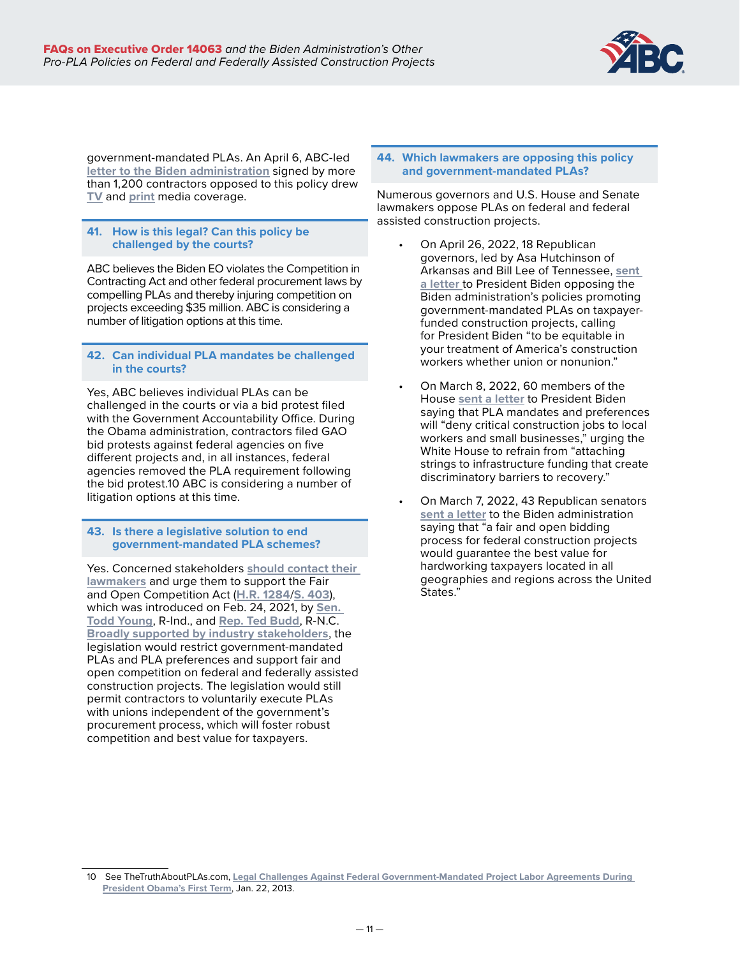

government-mandated PLAs. An April 6, ABC-led **[letter to the Biden administration](https://abc.org/Portals/1/2021%20Files/Government%20Affairs/Legislative/ABC%20and%20Members%20White%20House%20PLA%20EO%20Letter.pdf?ver=2022-04-06-122001-997×tamp=1649262007681)** signed by more than 1,200 contractors opposed to this policy drew **[TV](https://www.foxbusiness.com/politics/bidens-executive-order-on-project-labor-agreements-a-lose-lose-policy-construction-industry-insider)** and **[print](https://www.washingtonpost.com/politics/2022/04/14/construction-firms-labor-agreement-biden/)** media coverage.

# **41. How is this legal? Can this policy be challenged by the courts?**

ABC believes the Biden EO violates the Competition in Contracting Act and other federal procurement laws by compelling PLAs and thereby injuring competition on projects exceeding \$35 million. ABC is considering a number of litigation options at this time.

# **42. Can individual PLA mandates be challenged in the courts?**

Yes, ABC believes individual PLAs can be challenged in the courts or via a bid protest filed with the Government Accountability Office. During the Obama administration, contractors filed GAO bid protests against federal agencies on five different projects and, in all instances, federal agencies removed the PLA requirement following the bid protest.10 ABC is considering a number of litigation options at this time.

#### **43. Is there a legislative solution to end government-mandated PLA schemes?**

Yes. Concerned stakeholders **[should contact their](https://www.abc.org/Politics-Policy/ABC-Action-App/Action-Center?vvsrc=%2fCampaigns%2f90476%2fRespond)  [lawmakers](https://www.abc.org/Politics-Policy/ABC-Action-App/Action-Center?vvsrc=%2fCampaigns%2f90476%2fRespond)** and urge them to support the Fair and Open Competition Act (**[H.R. 1284](https://www.congress.gov/bill/117th-congress/house-bill/1284?q=%7B%22search%22%3A%5B%22ted+budd%22%5D%7D&s=2&r=1)**/**[S. 403](https://www.congress.gov/bill/117th-congress/senate-bill/403)**), which was introduced on Feb. 24, 2021, by **[Sen.](https://www.young.senate.gov/newsroom/press-releases/young-scott-reintroduce-bill-to-protect-taxpayer-dollars-in-government-contracting-organizations-join-in-support-)  [Todd Young](https://www.young.senate.gov/newsroom/press-releases/young-scott-reintroduce-bill-to-protect-taxpayer-dollars-in-government-contracting-organizations-join-in-support-)**, R-Ind., and **[Rep. Ted Budd](https://budd.house.gov/news/documentsingle.aspx?DocumentID=1064)**, R-N.C. **[Broadly supported by industry stakeholders](https://www.abc.org/Portals/1/CEU/Coalition%20Letter%20Supporting%20FOCA%20Sen%20Young%20Rep%20Budd%20117th%20Congress%20Opposing%20PLAs%20022822.pdf?ver=2022-02-26-143547-500)**, the legislation would restrict government-mandated PLAs and PLA preferences and support fair and open competition on federal and federally assisted construction projects. The legislation would still permit contractors to voluntarily execute PLAs with unions independent of the government's procurement process, which will foster robust competition and best value for taxpayers.

#### **44. Which lawmakers are opposing this policy and government-mandated PLAs?**

Numerous governors and U.S. House and Senate lawmakers oppose PLAs on federal and federal assisted construction projects.

- On April 26, 2022, 18 Republican governors, led by Asa Hutchinson of Arkansas and Bill Lee of Tennessee, **[sent](https://buildamericalocal.com/wp-content/uploads/sites/18/2022/05/Joint-Governors-Letter-to-Biden-opposing-PLAs-April-2022.pdf)  [a letter](https://buildamericalocal.com/wp-content/uploads/sites/18/2022/05/Joint-Governors-Letter-to-Biden-opposing-PLAs-April-2022.pdf)** to President Biden opposing the Biden administration's policies promoting government-mandated PLAs on taxpayerfunded construction projects, calling for President Biden "to be equitable in your treatment of America's construction workers whether union or nonunion."
- On March 8, 2022, 60 members of the House **[sent a letter](https://buildamericalocal.com/wp-content/uploads/sites/18/2022/03/59-Members-of-Congress-Sign-Letter-Opposing-White-House-PLA-Policy-3822.pdf)** to President Biden saying that PLA mandates and preferences will "deny critical construction jobs to local workers and small businesses," urging the White House to refrain from "attaching strings to infrastructure funding that create discriminatory barriers to recovery."
- On March 7, 2022, 43 Republican senators **[sent a letter](https://buildamericalocal.com/wp-content/uploads/sites/18/2022/03/43-U.S.-Senators-Sign-Letter-Opposing-White-House-PLA-Policy-3722.pdf)** to the Biden administration saying that "a fair and open bidding process for federal construction projects would guarantee the best value for hardworking taxpayers located in all geographies and regions across the United States."

<sup>10</sup> See TheTruthAboutPLAs.com, **[Legal Challenges Against Federal Government-Mandated Project Labor Agreements During](http://thetruthaboutplas.com/2013/01/22/legal-challenges-against-federal-government-mandated-project-labor-agreements-during-president-obamas-first-term/)  [President Obama's First Term](http://thetruthaboutplas.com/2013/01/22/legal-challenges-against-federal-government-mandated-project-labor-agreements-during-president-obamas-first-term/)**, Jan. 22, 2013.